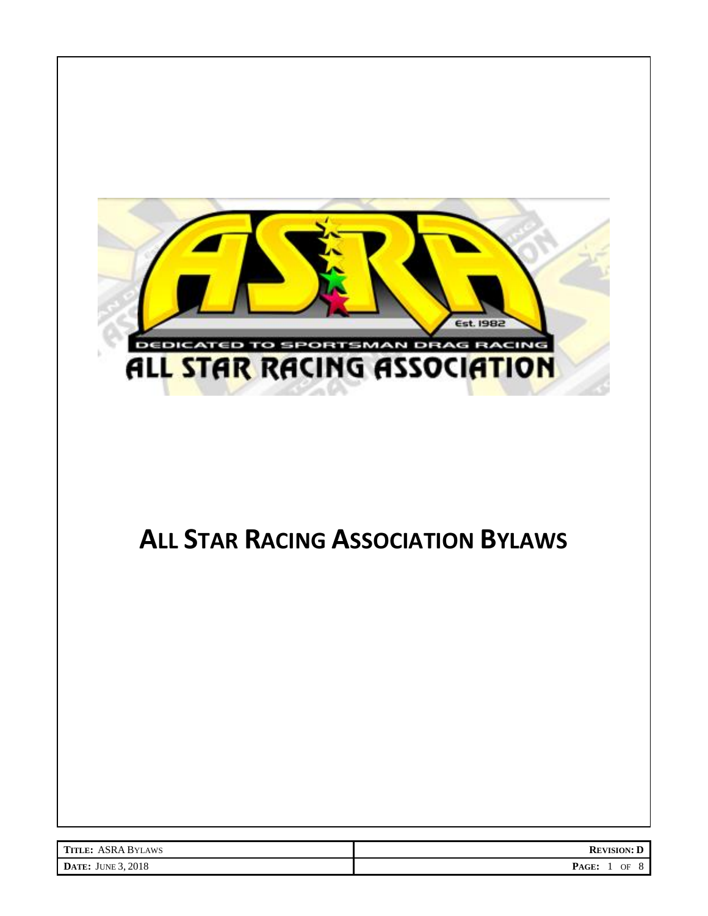

# **ALL STAR RACING ASSOCIATION BYLAWS**

| <b>TITLE: ASRA BYLAWS</b> | <b>REVISION: D</b>      |
|---------------------------|-------------------------|
| <b>DATE:</b> JUNE 3, 2018 | PAGE:<br>OF<br>$\Omega$ |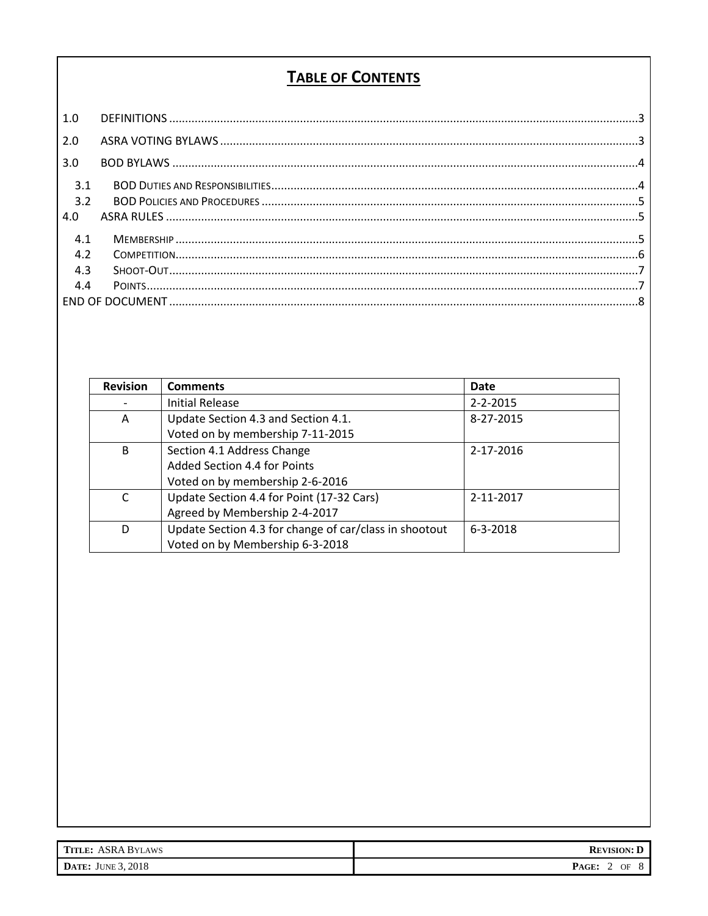#### **TABLE OF CONTENTS**

| 1.0               |  |
|-------------------|--|
| 2.0               |  |
| 3.0               |  |
| 3.1<br>3.2<br>4.0 |  |
| 4.1               |  |
| 4.2               |  |
| 4.3               |  |
| 4.4               |  |
|                   |  |

| <b>Revision</b> | <b>Comments</b>                                        | <b>Date</b>    |
|-----------------|--------------------------------------------------------|----------------|
|                 | <b>Initial Release</b>                                 | $2 - 2 - 2015$ |
| A               | Update Section 4.3 and Section 4.1.                    | 8-27-2015      |
|                 | Voted on by membership 7-11-2015                       |                |
| B               | Section 4.1 Address Change                             | 2-17-2016      |
|                 | Added Section 4.4 for Points                           |                |
|                 | Voted on by membership 2-6-2016                        |                |
| C               | Update Section 4.4 for Point (17-32 Cars)              | 2-11-2017      |
|                 | Agreed by Membership 2-4-2017                          |                |
| D               | Update Section 4.3 for change of car/class in shootout | $6 - 3 - 2018$ |
|                 | Voted on by Membership 6-3-2018                        |                |

| <b>TITLE: ASRA BYLAWS</b> | <b>REVISION: D</b> |
|---------------------------|--------------------|
| <b>DATE:</b> JUNE 3, 2018 | PAGE:<br>OF<br>∸   |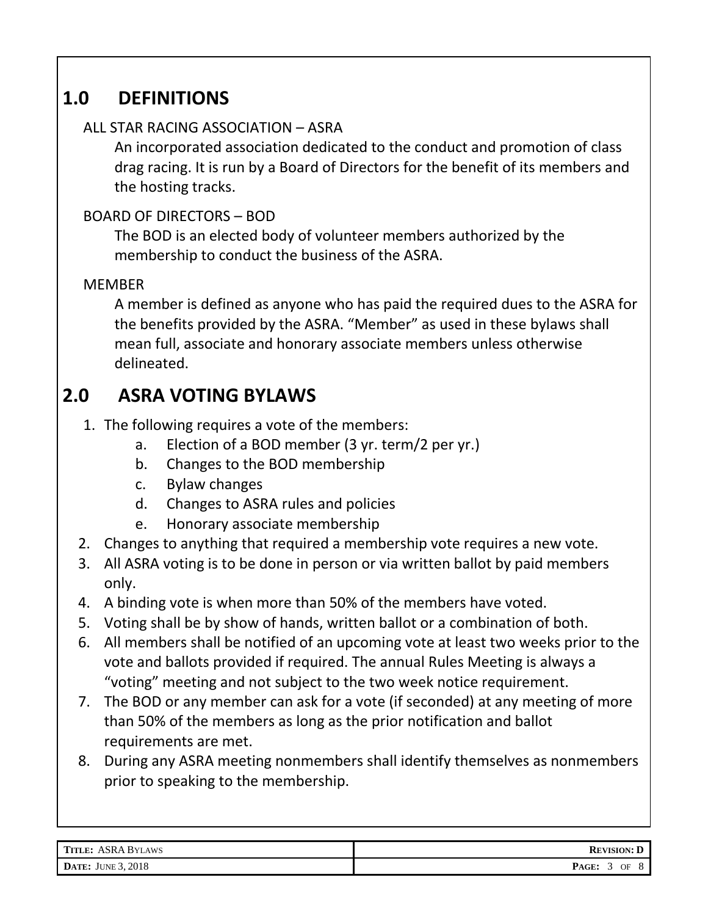## **1.0 DEFINITIONS**

#### <span id="page-2-0"></span>ALL STAR RACING ASSOCIATION – ASRA

An incorporated association dedicated to the conduct and promotion of class drag racing. It is run by a Board of Directors for the benefit of its members and the hosting tracks.

#### BOARD OF DIRECTORS – BOD

The BOD is an elected body of volunteer members authorized by the membership to conduct the business of the ASRA.

#### MEMBER

A member is defined as anyone who has paid the required dues to the ASRA for the benefits provided by the ASRA. "Member" as used in these bylaws shall mean full, associate and honorary associate members unless otherwise delineated.

### **2.0 ASRA VOTING BYLAWS**

- <span id="page-2-1"></span>1. The following requires a vote of the members:
	- a. Election of a BOD member (3 yr. term/2 per yr.)
	- b. Changes to the BOD membership
	- c. Bylaw changes
	- d. Changes to ASRA rules and policies
	- e. Honorary associate membership
- 2. Changes to anything that required a membership vote requires a new vote.
- 3. All ASRA voting is to be done in person or via written ballot by paid members only.
- 4. A binding vote is when more than 50% of the members have voted.
- 5. Voting shall be by show of hands, written ballot or a combination of both.
- 6. All members shall be notified of an upcoming vote at least two weeks prior to the vote and ballots provided if required. The annual Rules Meeting is always a "voting" meeting and not subject to the two week notice requirement.
- 7. The BOD or any member can ask for a vote (if seconded) at any meeting of more than 50% of the members as long as the prior notification and ballot requirements are met.
- 8. During any ASRA meeting nonmembers shall identify themselves as nonmembers prior to speaking to the membership.

| <b>TITLE: ASRA BYLAWS</b> | <b>REVISION:</b>       |
|---------------------------|------------------------|
| <b>DATE:</b> JUNE 3, 2018 | PAGE:<br>$\circ$<br>OF |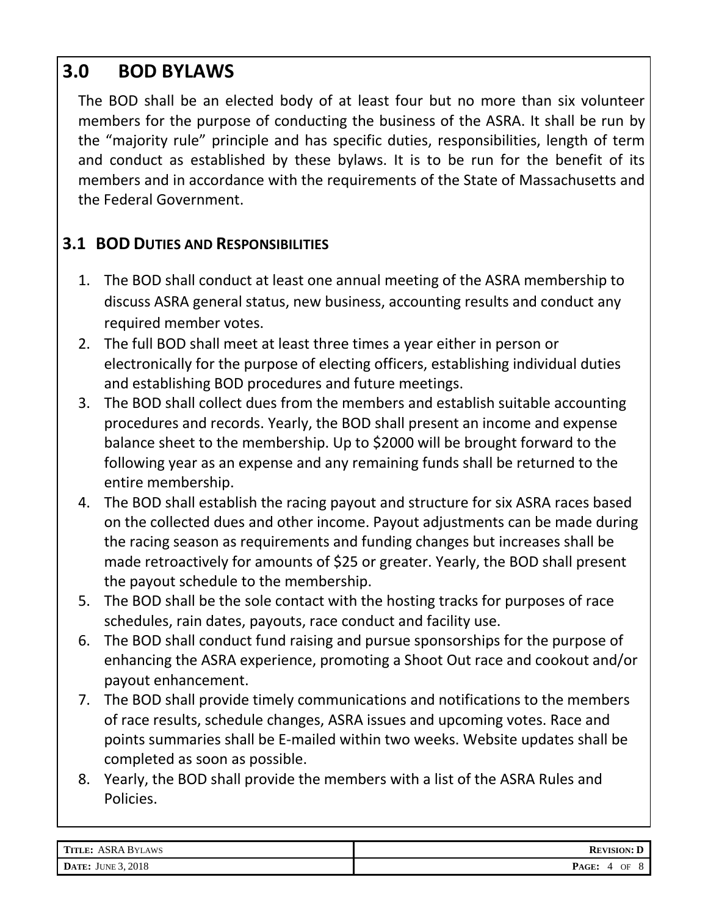## **3.0 BOD BYLAWS**

<span id="page-3-0"></span>The BOD shall be an elected body of at least four but no more than six volunteer members for the purpose of conducting the business of the ASRA. It shall be run by the "majority rule" principle and has specific duties, responsibilities, length of term and conduct as established by these bylaws. It is to be run for the benefit of its members and in accordance with the requirements of the State of Massachusetts and the Federal Government.

#### <span id="page-3-1"></span>**3.1 BOD DUTIES AND RESPONSIBILITIES**

- 1. The BOD shall conduct at least one annual meeting of the ASRA membership to discuss ASRA general status, new business, accounting results and conduct any required member votes.
- 2. The full BOD shall meet at least three times a year either in person or electronically for the purpose of electing officers, establishing individual duties and establishing BOD procedures and future meetings.
- 3. The BOD shall collect dues from the members and establish suitable accounting procedures and records. Yearly, the BOD shall present an income and expense balance sheet to the membership. Up to \$2000 will be brought forward to the following year as an expense and any remaining funds shall be returned to the entire membership.
- 4. The BOD shall establish the racing payout and structure for six ASRA races based on the collected dues and other income. Payout adjustments can be made during the racing season as requirements and funding changes but increases shall be made retroactively for amounts of \$25 or greater. Yearly, the BOD shall present the payout schedule to the membership.
- 5. The BOD shall be the sole contact with the hosting tracks for purposes of race schedules, rain dates, payouts, race conduct and facility use.
- 6. The BOD shall conduct fund raising and pursue sponsorships for the purpose of enhancing the ASRA experience, promoting a Shoot Out race and cookout and/or payout enhancement.
- 7. The BOD shall provide timely communications and notifications to the members of race results, schedule changes, ASRA issues and upcoming votes. Race and points summaries shall be E-mailed within two weeks. Website updates shall be completed as soon as possible.
- 8. Yearly, the BOD shall provide the members with a list of the ASRA Rules and Policies.

| <b>TITLE: ASRA BYLAWS</b> | <b>REVISION: D</b> |
|---------------------------|--------------------|
| <b>DATE:</b> JUNE 3, 2018 | PAGE:<br>OF        |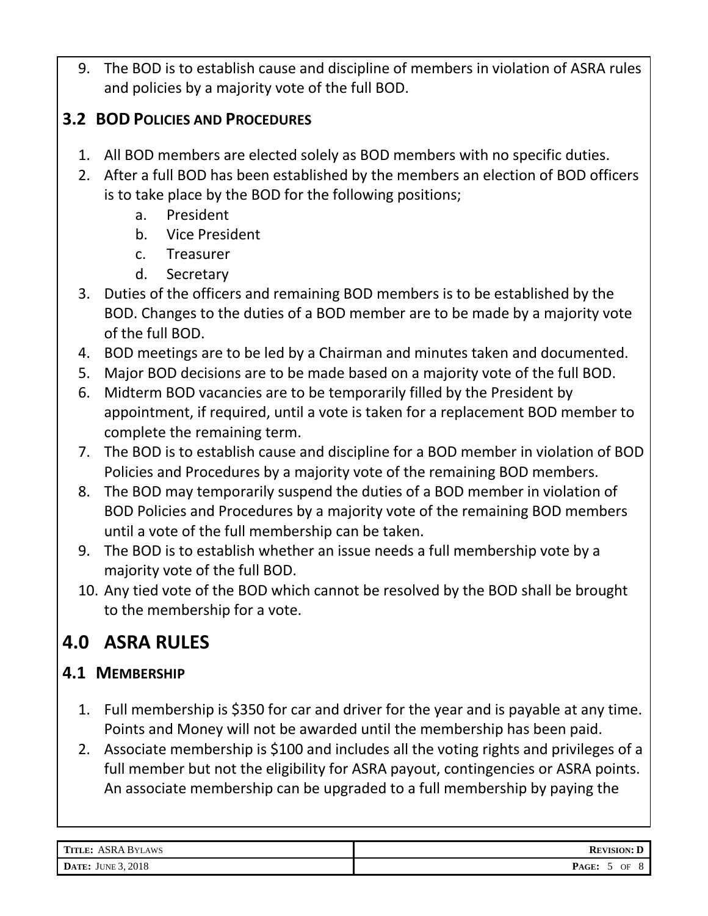9. The BOD is to establish cause and discipline of members in violation of ASRA rules and policies by a majority vote of the full BOD.

#### <span id="page-4-0"></span>**3.2 BOD POLICIES AND PROCEDURES**

- 1. All BOD members are elected solely as BOD members with no specific duties.
- 2. After a full BOD has been established by the members an election of BOD officers is to take place by the BOD for the following positions;
	- a. President
	- b. Vice President
	- c. Treasurer
	- d. Secretary
- 3. Duties of the officers and remaining BOD members is to be established by the BOD. Changes to the duties of a BOD member are to be made by a majority vote of the full BOD.
- 4. BOD meetings are to be led by a Chairman and minutes taken and documented.
- 5. Major BOD decisions are to be made based on a majority vote of the full BOD.
- 6. Midterm BOD vacancies are to be temporarily filled by the President by appointment, if required, until a vote is taken for a replacement BOD member to complete the remaining term.
- 7. The BOD is to establish cause and discipline for a BOD member in violation of BOD Policies and Procedures by a majority vote of the remaining BOD members.
- 8. The BOD may temporarily suspend the duties of a BOD member in violation of BOD Policies and Procedures by a majority vote of the remaining BOD members until a vote of the full membership can be taken.
- 9. The BOD is to establish whether an issue needs a full membership vote by a majority vote of the full BOD.
- 10. Any tied vote of the BOD which cannot be resolved by the BOD shall be brought to the membership for a vote.

## <span id="page-4-1"></span>**4.0 ASRA RULES**

#### <span id="page-4-2"></span>**4.1 MEMBERSHIP**

- 1. Full membership is \$350 for car and driver for the year and is payable at any time. Points and Money will not be awarded until the membership has been paid.
- 2. Associate membership is \$100 and includes all the voting rights and privileges of a full member but not the eligibility for ASRA payout, contingencies or ASRA points. An associate membership can be upgraded to a full membership by paying the

| <b>TITLE: ASRA BYLAWS</b> | <b>REVISION: D</b> |
|---------------------------|--------------------|
| <b>DATE:</b> JUNE 3, 2018 | PAGE:<br>OF        |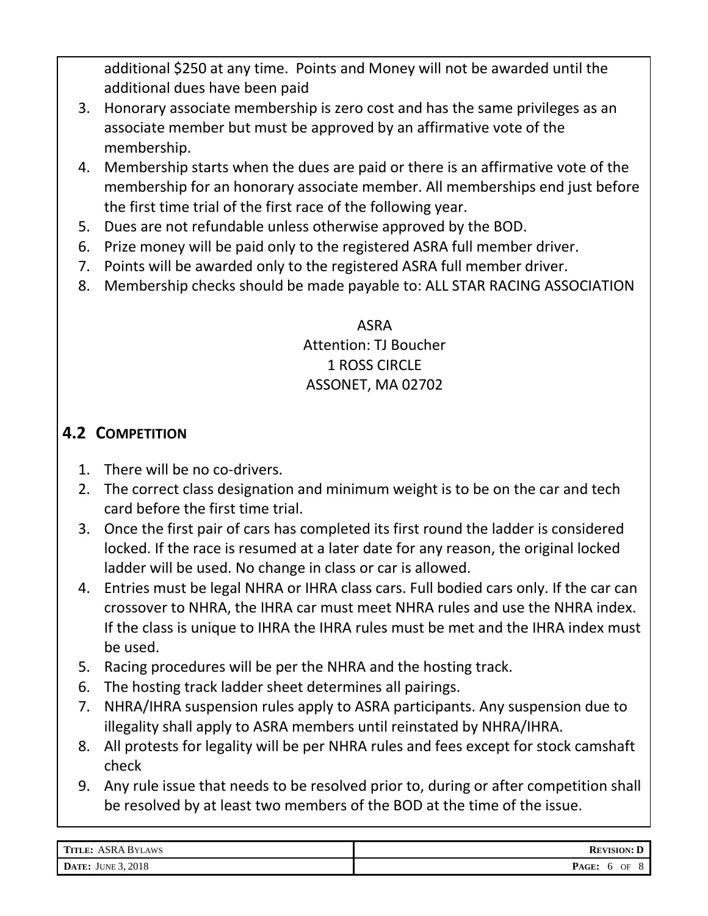additional \$250 at any time. Points and Money will not be awarded until the additional dues have been paid

- 3. Honorary associate membership is zero cost and has the same privileges as an associate member but must be approved by an affirmative vote of the membership.
- 4. Membership starts when the dues are paid or there is an affirmative vote of the membership for an honorary associate member. All memberships end just before the first time trial of the first race of the following year.
- 5. Dues are not refundable unless otherwise approved by the BOD.
- 6. Prize money will be paid only to the registered ASRA full member driver.
- 7. Points will be awarded only to the registered ASRA full member driver.
- 8. Membership checks should be made payable to: ALL STAR RACING ASSOCIATION

ASRA Attention: TJ Boucher 1 ROSS CIRCLE ASSONET, MA 02702

#### <span id="page-5-0"></span>**4.2 COMPETITION**

- 1. There will be no co-drivers.
- 2. The correct class designation and minimum weight is to be on the car and tech card before the first time trial.
- 3. Once the first pair of cars has completed its first round the ladder is considered locked. If the race is resumed at a later date for any reason, the original locked ladder will be used. No change in class or car is allowed.
- 4. Entries must be legal NHRA or IHRA class cars. Full bodied cars only. If the car can crossover to NHRA, the IHRA car must meet NHRA rules and use the NHRA index. If the class is unique to IHRA the IHRA rules must be met and the IHRA index must be used.
- 5. Racing procedures will be per the NHRA and the hosting track.
- 6. The hosting track ladder sheet determines all pairings.
- 7. NHRA/IHRA suspension rules apply to ASRA participants. Any suspension due to illegality shall apply to ASRA members until reinstated by NHRA/IHRA.
- 8. All protests for legality will be per NHRA rules and fees except for stock camshaft check
- 9. Any rule issue that needs to be resolved prior to, during or after competition shall be resolved by at least two members of the BOD at the time of the issue.

| <b>TITLE: ASRA BYLAWS</b> | <b>REVISION: D</b> |
|---------------------------|--------------------|
| JUNE 3, 2018              | PAGE:              |
| DATE:                     | OF                 |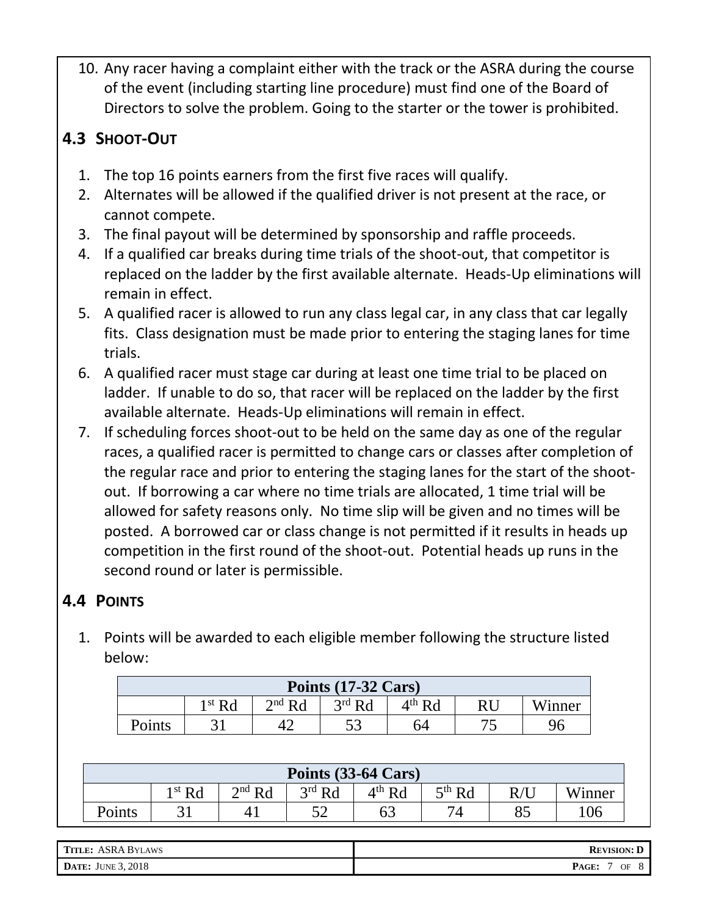10. Any racer having a complaint either with the track or the ASRA during the course of the event (including starting line procedure) must find one of the Board of Directors to solve the problem. Going to the starter or the tower is prohibited.

### <span id="page-6-0"></span>**4.3 SHOOT-OUT**

- 1. The top 16 points earners from the first five races will qualify.
- 2. Alternates will be allowed if the qualified driver is not present at the race, or cannot compete.
- 3. The final payout will be determined by sponsorship and raffle proceeds.
- 4. If a qualified car breaks during time trials of the shoot-out, that competitor is replaced on the ladder by the first available alternate. Heads-Up eliminations will remain in effect.
- 5. A qualified racer is allowed to run any class legal car, in any class that car legally fits. Class designation must be made prior to entering the staging lanes for time trials.
- 6. A qualified racer must stage car during at least one time trial to be placed on ladder. If unable to do so, that racer will be replaced on the ladder by the first available alternate. Heads-Up eliminations will remain in effect.
- 7. If scheduling forces shoot-out to be held on the same day as one of the regular races, a qualified racer is permitted to change cars or classes after completion of the regular race and prior to entering the staging lanes for the start of the shootout. If borrowing a car where no time trials are allocated, 1 time trial will be allowed for safety reasons only. No time slip will be given and no times will be posted. A borrowed car or class change is not permitted if it results in heads up competition in the first round of the shoot-out. Potential heads up runs in the second round or later is permissible.

### <span id="page-6-1"></span>**4.4 POINTS**

1. Points will be awarded to each eligible member following the structure listed below:

| Points (17-32 Cars)                                                     |  |  |  |    |    |  |  |  |  |
|-------------------------------------------------------------------------|--|--|--|----|----|--|--|--|--|
| $3rd$ Rd<br>$4th$ Rd<br>$2^{nd}$ R $d$<br>1 st $\mathbf{p}_d$<br>Winner |  |  |  |    |    |  |  |  |  |
| Points                                                                  |  |  |  | 64 | 74 |  |  |  |  |

| Points (33-64 Cars) |                                                                                                                                         |  |    |    |    |    |    |  |  |
|---------------------|-----------------------------------------------------------------------------------------------------------------------------------------|--|----|----|----|----|----|--|--|
|                     | $2nd$ Rd<br>$5^{\text{th}}$ Rd<br>$4^{\text{th}}$ Rd<br>$3rd$ Rd<br>1 st $\mathbf{D}$ $\mathbf{A}$<br>Winner<br>$\mathbf{D}/\mathbf{I}$ |  |    |    |    |    |    |  |  |
| Points              | $\bigcap$                                                                                                                               |  | ⊏າ | 63 | 74 | ის | 06 |  |  |

| <b>TITLE: ASRA BYLAWS</b> | <b>REVISION: L</b> |
|---------------------------|--------------------|
| <b>DATE:</b> JUNE 3, 2018 | PAGE:<br>OF        |